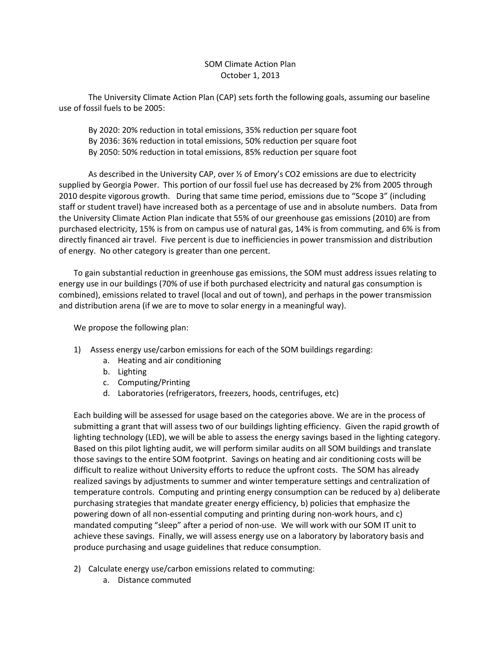## SOM Climate Action Plan October 1, 2013

The University Climate Action Plan (CAP) sets forth the following goals, assuming our baseline use of fossil fuels to be 2005:

By 2020: 20% reduction in total emissions, 35% reduction per square foot By 2036: 36% reduction in total emissions, 50% reduction per square foot By 2050: 50% reduction in total emissions, 85% reduction per square foot

As described in the University CAP, over  $\frac{1}{2}$  of Emory's CO2 emissions are due to electricity supplied by Georgia Power. This portion of our fossil fuel use has decreased by 2% from 2005 through 2010 despite vigorous growth. During that same time period, emissions due to "Scope 3" (including staff or student travel) have increased both as a percentage of use and in absolute numbers. Data from the University Climate Action Plan indicate that 55% of our greenhouse gas emissions (2010) are from purchased electricity, 15% is from on campus use of natural gas, 14% is from commuting, and 6% is from directly financed air travel. Five percent is due to inefficiencies in power transmission and distribution of energy. No other category is greater than one percent.

To gain substantial reduction in greenhouse gas emissions, the SOM must address issues relating to energy use in our buildings (70% of use if both purchased electricity and natural gas consumption is combined), emissions related to travel (local and out of town), and perhaps in the power transmission and distribution arena (if we are to move to solar energy in a meaningful way).

We propose the following plan:

- 1) Assess energy use/carbon emissions for each of the SOM buildings regarding:
	- a. Heating and air conditioning
	- b. Lighting
	- c. Computing/Printing
	- d. Laboratories (refrigerators, freezers, hoods, centrifuges, etc)

Each building will be assessed for usage based on the categories above. We are in the process of submitting a grant that will assess two of our buildings lighting efficiency. Given the rapid growth of lighting technology (LED), we will be able to assess the energy savings based in the lighting category. Based on this pilot lighting audit, we will perform similar audits on all SOM buildings and translate those savings to the entire SOM footprint. Savings on heating and air conditioning costs will be difficult to realize without University efforts to reduce the upfront costs. The SOM has already realized savings by adjustments to summer and winter temperature settings and centralization of temperature controls. Computing and printing energy consumption can be reduced by a) deliberate purchasing strategies that mandate greater energy efficiency, b) policies that emphasize the powering down of all non-essential computing and printing during non-work hours, and c) mandated computing "sleep" after a period of non-use. We will work with our SOM IT unit to achieve these savings. Finally, we will assess energy use on a laboratory by laboratory basis and produce purchasing and usage guidelines that reduce consumption.

- 2) Calculate energy use/carbon emissions related to commuting:
	- a. Distance commuted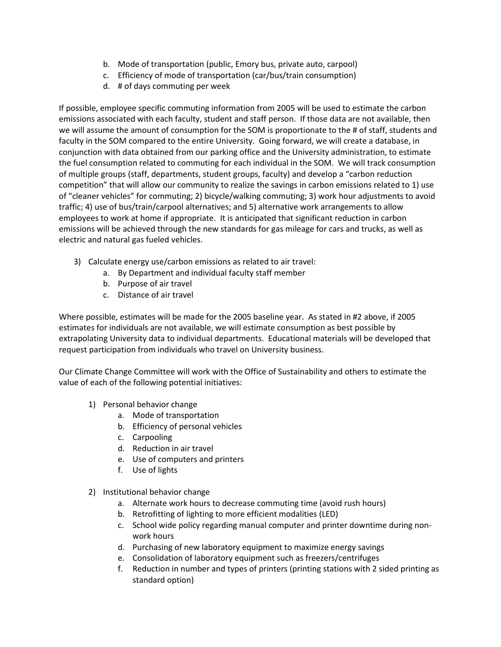- b. Mode of transportation (public, Emory bus, private auto, carpool)
- c. Efficiency of mode of transportation (car/bus/train consumption)
- d. # of days commuting per week

If possible, employee specific commuting information from 2005 will be used to estimate the carbon emissions associated with each faculty, student and staff person. If those data are not available, then we will assume the amount of consumption for the SOM is proportionate to the # of staff, students and faculty in the SOM compared to the entire University. Going forward, we will create a database, in conjunction with data obtained from our parking office and the University administration, to estimate the fuel consumption related to commuting for each individual in the SOM. We will track consumption of multiple groups (staff, departments, student groups, faculty) and develop a "carbon reduction competition" that will allow our community to realize the savings in carbon emissions related to 1) use of "cleaner vehicles" for commuting; 2) bicycle/walking commuting; 3) work hour adjustments to avoid traffic; 4) use of bus/train/carpool alternatives; and 5) alternative work arrangements to allow employees to work at home if appropriate. It is anticipated that significant reduction in carbon emissions will be achieved through the new standards for gas mileage for cars and trucks, as well as electric and natural gas fueled vehicles.

- 3) Calculate energy use/carbon emissions as related to air travel:
	- a. By Department and individual faculty staff member
	- b. Purpose of air travel
	- c. Distance of air travel

Where possible, estimates will be made for the 2005 baseline year. As stated in #2 above, if 2005 estimates for individuals are not available, we will estimate consumption as best possible by extrapolating University data to individual departments. Educational materials will be developed that request participation from individuals who travel on University business.

Our Climate Change Committee will work with the Office of Sustainability and others to estimate the value of each of the following potential initiatives:

- 1) Personal behavior change
	- a. Mode of transportation
	- b. Efficiency of personal vehicles
	- c. Carpooling
	- d. Reduction in air travel
	- e. Use of computers and printers
	- f. Use of lights
- 2) Institutional behavior change
	- a. Alternate work hours to decrease commuting time (avoid rush hours)
	- b. Retrofitting of lighting to more efficient modalities (LED)
	- c. School wide policy regarding manual computer and printer downtime during nonwork hours
	- d. Purchasing of new laboratory equipment to maximize energy savings
	- e. Consolidation of laboratory equipment such as freezers/centrifuges
	- f. Reduction in number and types of printers (printing stations with 2 sided printing as standard option)